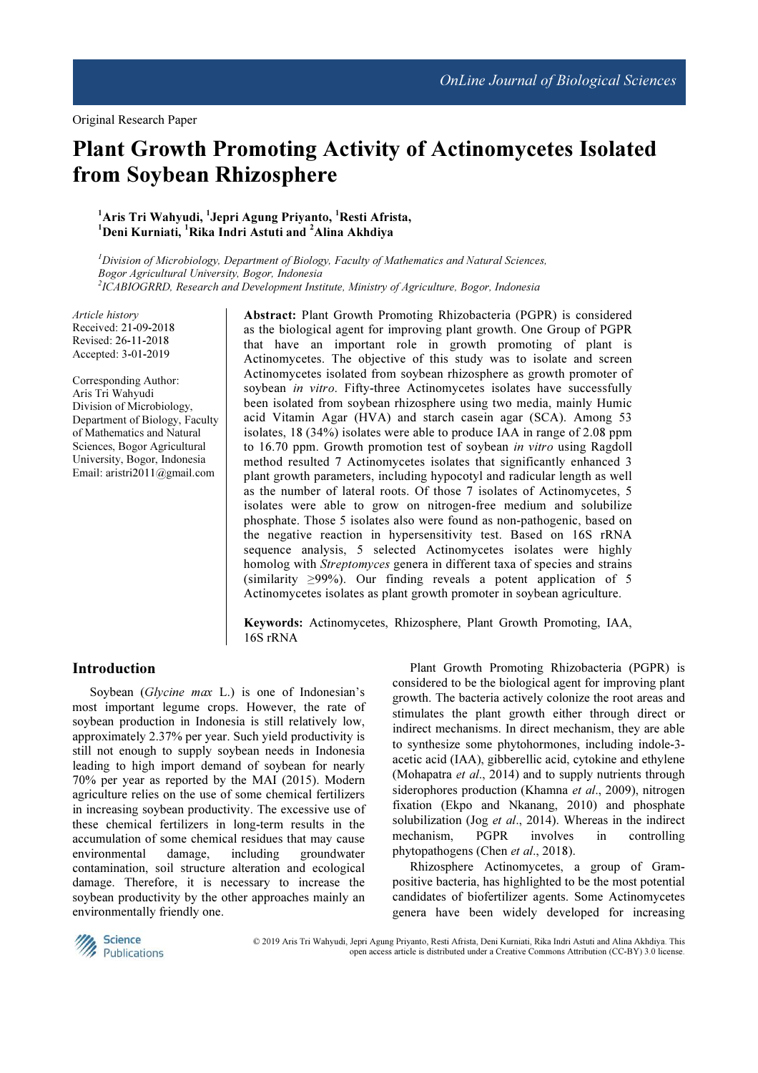# Plant Growth Promoting Activity of Actinomycetes Isolated from Soybean Rhizosphere

# $^1$ Aris Tri Wahyudi,  $^1$ Jepri Agung Priyanto,  $^1$ Resti Afrista,  $1$ Deni Kurniati,  $1$ Rika Indri Astuti and  $2$ Alina Akhdiya

 $<sup>I</sup> Division of Microbiology, Department of Biology, Faculty of Mathematics and Natural Sciences,$ </sup> Bogor Agricultural University, Bogor, Indonesia 2 ICABIOGRRD, Research and Development Institute, Ministry of Agriculture, Bogor, Indonesia

Article history Received: 21-09-2018 Revised: 26-11-2018 Accepted: 3-01-2019

Corresponding Author: Aris Tri Wahyudi Division of Microbiology, Department of Biology, Faculty of Mathematics and Natural Sciences, Bogor Agricultural University, Bogor, Indonesia Email: aristri2011@gmail.com

Abstract: Plant Growth Promoting Rhizobacteria (PGPR) is considered as the biological agent for improving plant growth. One Group of PGPR that have an important role in growth promoting of plant is Actinomycetes. The objective of this study was to isolate and screen Actinomycetes isolated from soybean rhizosphere as growth promoter of soybean in vitro. Fifty-three Actinomycetes isolates have successfully been isolated from soybean rhizosphere using two media, mainly Humic acid Vitamin Agar (HVA) and starch casein agar (SCA). Among 53 isolates, 18 (34%) isolates were able to produce IAA in range of 2.08 ppm to 16.70 ppm. Growth promotion test of sovbean *in vitro* using Ragdoll method resulted 7 Actinomycetes isolates that significantly enhanced 3 plant growth parameters, including hypocotyl and radicular length as well as the number of lateral roots. Of those 7 isolates of Actinomycetes, 5 isolates were able to grow on nitrogen-free medium and solubilize phosphate. Those 5 isolates also were found as non-pathogenic, based on the negative reaction in hypersensitivity test. Based on 16S rRNA sequence analysis, 5 selected Actinomycetes isolates were highly homolog with Streptomyces genera in different taxa of species and strains (similarity  $\geq$ 99%). Our finding reveals a potent application of 5 Actinomycetes isolates as plant growth promoter in soybean agriculture.

Keywords: Actinomycetes, Rhizosphere, Plant Growth Promoting, IAA, 16S rRNA

#### Introduction

Soybean (Glycine max L.) is one of Indonesian's most important legume crops. However, the rate of soybean production in Indonesia is still relatively low, approximately 2.37% per year. Such yield productivity is still not enough to supply soybean needs in Indonesia leading to high import demand of soybean for nearly 70% per year as reported by the MAI (2015). Modern agriculture relies on the use of some chemical fertilizers in increasing soybean productivity. The excessive use of these chemical fertilizers in long-term results in the accumulation of some chemical residues that may cause environmental damage, including groundwater contamination, soil structure alteration and ecological damage. Therefore, it is necessary to increase the soybean productivity by the other approaches mainly an environmentally friendly one.

Plant Growth Promoting Rhizobacteria (PGPR) is considered to be the biological agent for improving plant growth. The bacteria actively colonize the root areas and stimulates the plant growth either through direct or indirect mechanisms. In direct mechanism, they are able to synthesize some phytohormones, including indole-3 acetic acid (IAA), gibberellic acid, cytokine and ethylene (Mohapatra *et al.*, 2014) and to supply nutrients through siderophores production (Khamna et al., 2009), nitrogen fixation (Ekpo and Nkanang, 2010) and phosphate solubilization (Jog et al., 2014). Whereas in the indirect mechanism, PGPR involves in controlling phytopathogens (Chen et al., 2018).

Rhizosphere Actinomycetes, a group of Grampositive bacteria, has highlighted to be the most potential candidates of biofertilizer agents. Some Actinomycetes genera have been widely developed for increasing



© 2019 Aris Tri Wahyudi, Jepri Agung Priyanto, Resti Afrista, Deni Kurniati, Rika Indri Astuti and Alina Akhdiya. This open access article is distributed under a Creative Commons Attribution (CC-BY) 3.0 license.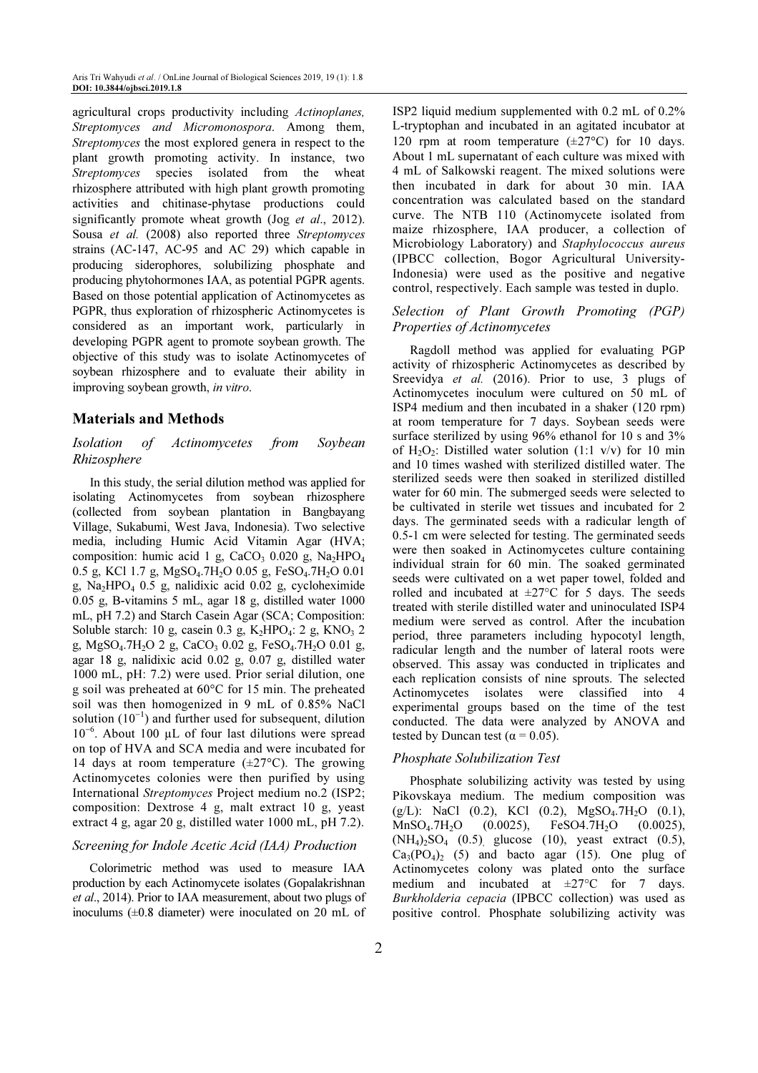agricultural crops productivity including Actinoplanes, Streptomyces and Micromonospora. Among them, Streptomyces the most explored genera in respect to the plant growth promoting activity. In instance, two Streptomyces species isolated from the wheat rhizosphere attributed with high plant growth promoting activities and chitinase-phytase productions could significantly promote wheat growth (Jog et al., 2012). Sousa et al. (2008) also reported three Streptomyces strains (AC-147, AC-95 and AC 29) which capable in producing siderophores, solubilizing phosphate and producing phytohormones IAA, as potential PGPR agents. Based on those potential application of Actinomycetes as PGPR, thus exploration of rhizospheric Actinomycetes is considered as an important work, particularly in developing PGPR agent to promote soybean growth. The objective of this study was to isolate Actinomycetes of soybean rhizosphere and to evaluate their ability in improving soybean growth, in vitro.

## Materials and Methods

# Isolation of Actinomycetes from Soybean Rhizosphere

In this study, the serial dilution method was applied for isolating Actinomycetes from soybean rhizosphere (collected from soybean plantation in Bangbayang Village, Sukabumi, West Java, Indonesia). Two selective media, including Humic Acid Vitamin Agar (HVA; composition: humic acid 1 g, CaCO<sub>3</sub> 0.020 g, Na<sub>2</sub>HPO<sub>4</sub> 0.5 g, KCl 1.7 g, MgSO<sub>4</sub>.7H<sub>2</sub>O 0.05 g, FeSO<sub>4</sub>.7H<sub>2</sub>O 0.01 g, Na<sub>2</sub>HPO<sub>4</sub> 0.5 g, nalidixic acid 0.02 g, cycloheximide 0.05 g, B-vitamins 5 mL, agar 18 g, distilled water 1000 mL, pH 7.2) and Starch Casein Agar (SCA; Composition: Soluble starch: 10 g, casein 0.3 g,  $K_2HPO_4$ : 2 g,  $KNO_3$  2 g, MgSO<sub>4</sub>.7H<sub>2</sub>O 2 g, CaCO<sub>3</sub> 0.02 g, FeSO<sub>4</sub>.7H<sub>2</sub>O 0.01 g, agar 18 g, nalidixic acid 0.02 g, 0.07 g, distilled water 1000 mL, pH: 7.2) were used. Prior serial dilution, one g soil was preheated at 60°C for 15 min. The preheated soil was then homogenized in 9 mL of 0.85% NaCl solution (10<sup>-1</sup>) and further used for subsequent, dilution 10<sup>−</sup><sup>6</sup> . About 100 µL of four last dilutions were spread on top of HVA and SCA media and were incubated for 14 days at room temperature  $(\pm 27^{\circ}C)$ . The growing Actinomycetes colonies were then purified by using International Streptomyces Project medium no.2 (ISP2; composition: Dextrose 4 g, malt extract 10 g, yeast extract 4 g, agar 20 g, distilled water 1000 mL, pH 7.2).

#### Screening for Indole Acetic Acid (IAA) Production

Colorimetric method was used to measure IAA production by each Actinomycete isolates (Gopalakrishnan et al., 2014). Prior to IAA measurement, about two plugs of inoculums  $(\pm 0.8$  diameter) were inoculated on 20 mL of ISP2 liquid medium supplemented with 0.2 mL of 0.2% L-tryptophan and incubated in an agitated incubator at 120 rpm at room temperature (±27°C) for 10 days. About 1 mL supernatant of each culture was mixed with 4 mL of Salkowski reagent. The mixed solutions were then incubated in dark for about 30 min. IAA concentration was calculated based on the standard curve. The NTB 110 (Actinomycete isolated from maize rhizosphere, IAA producer, a collection of Microbiology Laboratory) and Staphylococcus aureus (IPBCC collection, Bogor Agricultural University-Indonesia) were used as the positive and negative control, respectively. Each sample was tested in duplo.

### Selection of Plant Growth Promoting (PGP) Properties of Actinomycetes

Ragdoll method was applied for evaluating PGP activity of rhizospheric Actinomycetes as described by Sreevidya et al. (2016). Prior to use, 3 plugs of Actinomycetes inoculum were cultured on 50 mL of ISP4 medium and then incubated in a shaker (120 rpm) at room temperature for 7 days. Soybean seeds were surface sterilized by using 96% ethanol for 10 s and 3% of H<sub>2</sub>O<sub>2</sub>: Distilled water solution (1:1 v/v) for 10 min and 10 times washed with sterilized distilled water. The sterilized seeds were then soaked in sterilized distilled water for 60 min. The submerged seeds were selected to be cultivated in sterile wet tissues and incubated for 2 days. The germinated seeds with a radicular length of 0.5-1 cm were selected for testing. The germinated seeds were then soaked in Actinomycetes culture containing individual strain for 60 min. The soaked germinated seeds were cultivated on a wet paper towel, folded and rolled and incubated at  $\pm 27^{\circ}$ C for 5 days. The seeds treated with sterile distilled water and uninoculated ISP4 medium were served as control. After the incubation period, three parameters including hypocotyl length, radicular length and the number of lateral roots were observed. This assay was conducted in triplicates and each replication consists of nine sprouts. The selected Actinomycetes isolates were classified into 4 experimental groups based on the time of the test conducted. The data were analyzed by ANOVA and tested by Duncan test ( $\alpha$  = 0.05).

#### Phosphate Solubilization Test

Phosphate solubilizing activity was tested by using Pikovskaya medium. The medium composition was (g/L): NaCl (0.2), KCl (0.2), MgSO<sub>4</sub>.7H<sub>2</sub>O (0.1),  $MnSO<sub>4</sub>.7H<sub>2</sub>O$  (0.0025), FeSO4.7H<sub>2</sub>O (0.0025),  $(NH_4)_{2}SO_4$  (0.5) glucose (10), yeast extract (0.5),  $Ca<sub>3</sub>(PO<sub>4</sub>)<sub>2</sub>$  (5) and bacto agar (15). One plug of Actinomycetes colony was plated onto the surface medium and incubated at  $\pm 27^{\circ}$ C for 7 days. Burkholderia cepacia (IPBCC collection) was used as positive control. Phosphate solubilizing activity was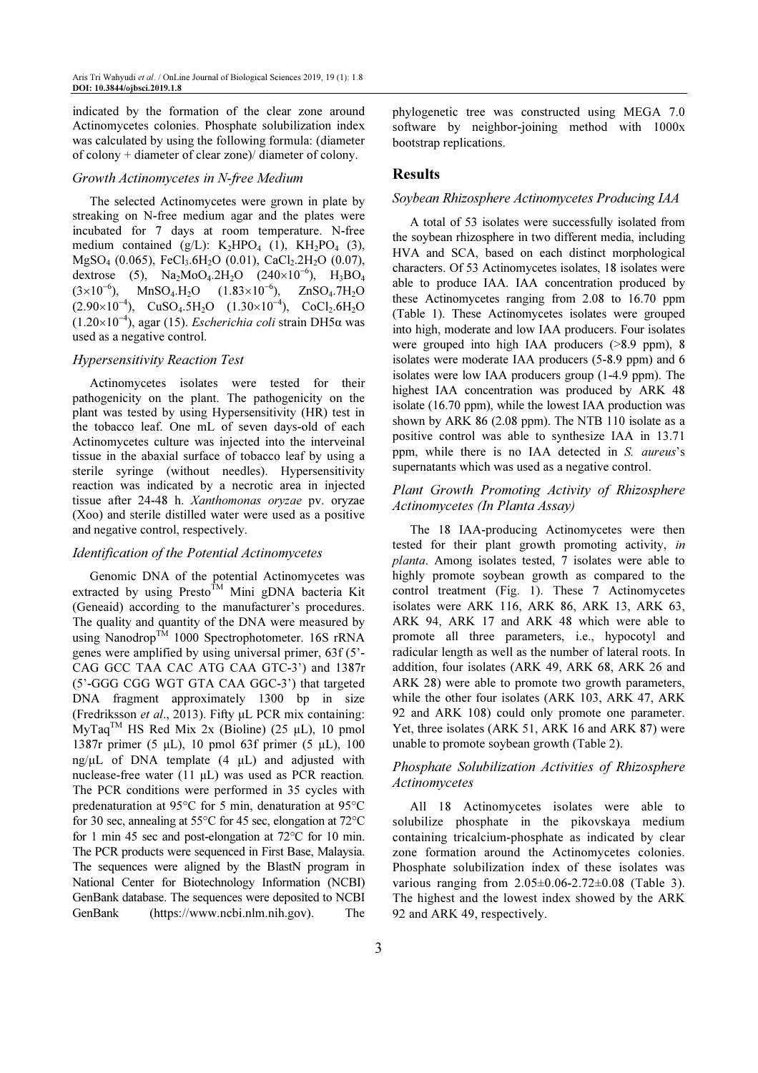indicated by the formation of the clear zone around Actinomycetes colonies. Phosphate solubilization index was calculated by using the following formula: (diameter of colony + diameter of clear zone)/ diameter of colony.

#### Growth Actinomycetes in N-free Medium

The selected Actinomycetes were grown in plate by streaking on N-free medium agar and the plates were incubated for 7 days at room temperature. N-free medium contained  $(g/L)$ : K<sub>2</sub>HPO<sub>4</sub> (1), KH<sub>2</sub>PO<sub>4</sub> (3),  $MgSO_4$  (0.065), FeCl<sub>3</sub>.6H<sub>2</sub>O (0.01), CaCl<sub>2</sub>.2H<sub>2</sub>O (0.07), dextrose (5),  $Na<sub>2</sub>MoO<sub>4</sub>$ .2H<sub>2</sub>O (240×10<sup>-6</sup>), H<sub>3</sub>BO<sub>4</sub>  $(3\times10^{-6})$ , MnSO<sub>4</sub>.H<sub>2</sub>O  $(1.83\times10^{-6})$ , ZnSO<sub>4</sub>.7H<sub>2</sub>O  $(2.90\times10^{-4})$ , CuSO<sub>4</sub>.5H<sub>2</sub>O (1.30×10<sup>-4</sup>), CoCl<sub>2</sub>.6H<sub>2</sub>O (1.20×10<sup>−</sup><sup>4</sup> ), agar (15). Escherichia coli strain DH5α was used as a negative control.

#### Hypersensitivity Reaction Test

Actinomycetes isolates were tested for their pathogenicity on the plant. The pathogenicity on the plant was tested by using Hypersensitivity (HR) test in the tobacco leaf. One mL of seven days-old of each Actinomycetes culture was injected into the interveinal tissue in the abaxial surface of tobacco leaf by using a sterile syringe (without needles). Hypersensitivity reaction was indicated by a necrotic area in injected tissue after 24-48 h. Xanthomonas oryzae pv. oryzae (Xoo) and sterile distilled water were used as a positive and negative control, respectively.

#### Identification of the Potential Actinomycetes

Genomic DNA of the potential Actinomycetes was extracted by using Presto<sup>TM</sup> Mini gDNA bacteria Kit (Geneaid) according to the manufacturer's procedures. The quality and quantity of the DNA were measured by using Nanodrop<sup>TM</sup> 1000 Spectrophotometer. 16S rRNA genes were amplified by using universal primer, 63f (5'- CAG GCC TAA CAC ATG CAA GTC-3') and 1387r (5'-GGG CGG WGT GTA CAA GGC-3') that targeted DNA fragment approximately 1300 bp in size (Fredriksson et al., 2013). Fifty µL PCR mix containing:  $MyTag^{TM}$  HS Red Mix 2x (Bioline) (25 µL), 10 pmol 1387r primer (5 µL), 10 pmol 63f primer (5 µL), 100 ng/ $\mu$ L of DNA template (4  $\mu$ L) and adjusted with nuclease-free water (11  $\mu$ L) was used as PCR reaction. The PCR conditions were performed in 35 cycles with predenaturation at 95°C for 5 min, denaturation at 95°C for 30 sec, annealing at 55°C for 45 sec, elongation at 72°C for 1 min 45 sec and post-elongation at 72°C for 10 min. The PCR products were sequenced in First Base, Malaysia. The sequences were aligned by the BlastN program in National Center for Biotechnology Information (NCBI) GenBank database. The sequences were deposited to NCBI GenBank (https://www.ncbi.nlm.nih.gov). The phylogenetic tree was constructed using MEGA 7.0 software by neighbor-joining method with 1000x bootstrap replications.

#### Results

#### Soybean Rhizosphere Actinomycetes Producing IAA

A total of 53 isolates were successfully isolated from the soybean rhizosphere in two different media, including HVA and SCA, based on each distinct morphological characters. Of 53 Actinomycetes isolates, 18 isolates were able to produce IAA. IAA concentration produced by these Actinomycetes ranging from 2.08 to 16.70 ppm (Table 1). These Actinomycetes isolates were grouped into high, moderate and low IAA producers. Four isolates were grouped into high IAA producers (>8.9 ppm), 8 isolates were moderate IAA producers (5-8.9 ppm) and 6 isolates were low IAA producers group (1-4.9 ppm). The highest IAA concentration was produced by ARK 48 isolate (16.70 ppm), while the lowest IAA production was shown by ARK 86 (2.08 ppm). The NTB 110 isolate as a positive control was able to synthesize IAA in 13.71 ppm, while there is no IAA detected in S. aureus's supernatants which was used as a negative control.

#### Plant Growth Promoting Activity of Rhizosphere Actinomycetes (In Planta Assay)

The 18 IAA-producing Actinomycetes were then tested for their plant growth promoting activity, in planta. Among isolates tested, 7 isolates were able to highly promote soybean growth as compared to the control treatment (Fig. 1). These 7 Actinomycetes isolates were ARK 116, ARK 86, ARK 13, ARK 63, ARK 94, ARK 17 and ARK 48 which were able to promote all three parameters, i.e., hypocotyl and radicular length as well as the number of lateral roots. In addition, four isolates (ARK 49, ARK 68, ARK 26 and ARK 28) were able to promote two growth parameters, while the other four isolates (ARK 103, ARK 47, ARK 92 and ARK 108) could only promote one parameter. Yet, three isolates (ARK 51, ARK 16 and ARK 87) were unable to promote soybean growth (Table 2).

### Phosphate Solubilization Activities of Rhizosphere Actinomycetes

All 18 Actinomycetes isolates were able to solubilize phosphate in the pikovskaya medium containing tricalcium-phosphate as indicated by clear zone formation around the Actinomycetes colonies. Phosphate solubilization index of these isolates was various ranging from 2.05±0.06-2.72±0.08 (Table 3). The highest and the lowest index showed by the ARK 92 and ARK 49, respectively.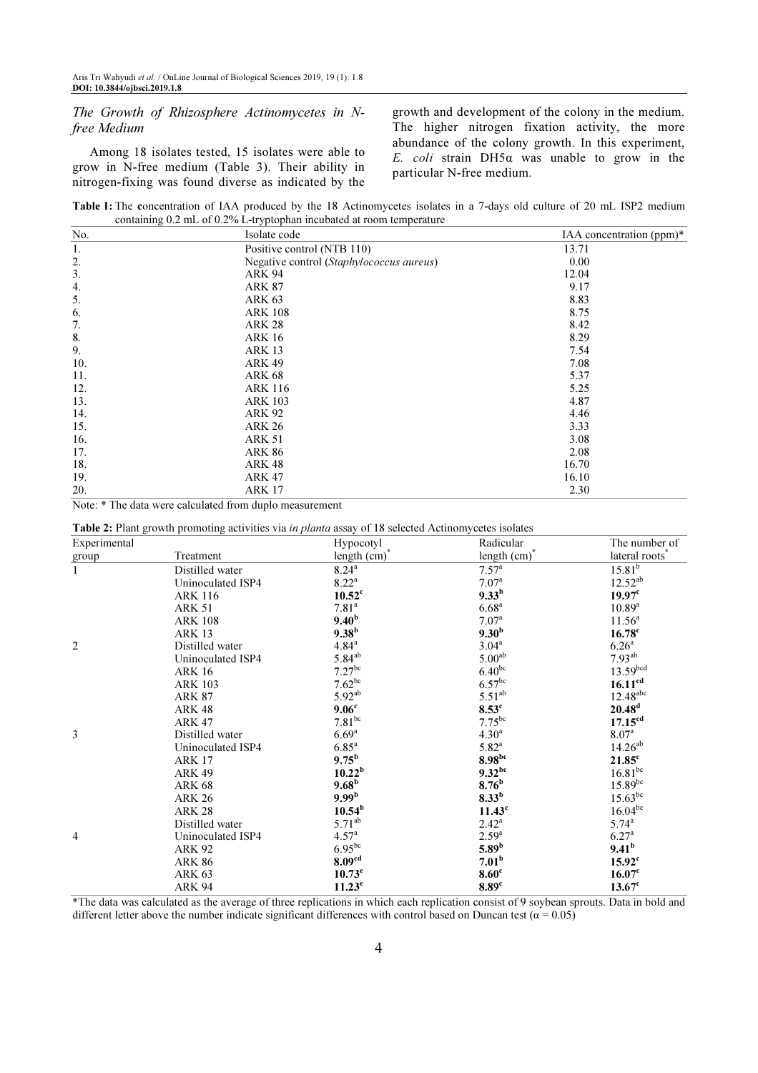The Growth of Rhizosphere Actinomycetes in Nfree Medium

Among 18 isolates tested, 15 isolates were able to grow in N-free medium (Table 3). Their ability in nitrogen-fixing was found diverse as indicated by the growth and development of the colony in the medium. The higher nitrogen fixation activity, the more abundance of the colony growth. In this experiment, E. coli strain DH5α was unable to grow in the particular N-free medium.

Table 1: The concentration of IAA produced by the 18 Actinomycetes isolates in a 7-days old culture of 20 mL ISP2 medium containing 0.2 mL of 0.2% L-tryptophan incubated at room temperature

| No. | Isolate code                             | IAA concentration (ppm)* |
|-----|------------------------------------------|--------------------------|
| 1.  | Positive control (NTB 110)               | 13.71                    |
| 2.  | Negative control (Staphylococcus aureus) | 0.00                     |
| 3.  | <b>ARK 94</b>                            | 12.04                    |
| 4.  | <b>ARK 87</b>                            | 9.17                     |
| 5.  | <b>ARK 63</b>                            | 8.83                     |
| 6.  | <b>ARK 108</b>                           | 8.75                     |
| 7.  | <b>ARK 28</b>                            | 8.42                     |
| 8.  | <b>ARK 16</b>                            | 8.29                     |
| 9.  | <b>ARK 13</b>                            | 7.54                     |
| 10. | <b>ARK 49</b>                            | 7.08                     |
| 11. | <b>ARK 68</b>                            | 5.37                     |
| 12. | <b>ARK 116</b>                           | 5.25                     |
| 13. | <b>ARK 103</b>                           | 4.87                     |
| 14. | <b>ARK 92</b>                            | 4.46                     |
| 15. | <b>ARK 26</b>                            | 3.33                     |
| 16. | <b>ARK 51</b>                            | 3.08                     |
| 17. | <b>ARK 86</b>                            | 2.08                     |
| 18. | <b>ARK 48</b>                            | 16.70                    |
| 19. | <b>ARK 47</b>                            | 16.10                    |
| 20. | <b>ARK 17</b>                            | 2.30                     |

Note: \* The data were calculated from duplo measurement

Table 2: Plant growth promoting activities via in planta assay of 18 selected Actinomycetes isolates

| Experimental   |                   | Hypocotyl            | Radicular                  | The number of              |
|----------------|-------------------|----------------------|----------------------------|----------------------------|
| group          | Treatment         | length (cm)*         | length $(cm)$ <sup>*</sup> | lateral roots <sup>*</sup> |
| $\mathbf{1}$   | Distilled water   | $8.24^{a}$           | $7.57^{\circ}$             | $15.81^{b}$                |
|                | Uninoculated ISP4 | $8.22^{a}$           | 7.07 <sup>a</sup>          | $12.52^{ab}$               |
|                | <b>ARK 116</b>    | $10.52^{\circ}$      | $9.33^{b}$                 | 19.97 <sup>c</sup>         |
|                | <b>ARK 51</b>     | 7.81 <sup>a</sup>    | 6.68 <sup>a</sup>          | $10.89^{a}$                |
|                | <b>ARK 108</b>    | 9.40 <sup>b</sup>    | 7.07 <sup>a</sup>          | $11.56^a$                  |
|                | <b>ARK 13</b>     | $9.38^{b}$           | 9.30 <sup>b</sup>          | $16.78$ c                  |
| $\overline{2}$ | Distilled water   | $4.84^{\rm a}$       | $3.04^a$                   | 6.26 <sup>a</sup>          |
|                | Uninoculated ISP4 | $5.84^{ab}$          | 5.00 <sup>ab</sup>         | $7.93^{ab}$                |
|                | <b>ARK 16</b>     | $7.27$ <sup>bc</sup> | $6.40^{bc}$                | 13.59 <sup>bcd</sup>       |
|                | <b>ARK 103</b>    | $7.62^{bc}$          | $6.57$ <sup>bc</sup>       | 16.11 <sup>cd</sup>        |
|                | <b>ARK 87</b>     | $5.92^{ab}$          | $5.51^{ab}$                | $12.48$ <sup>abc</sup>     |
|                | <b>ARK 48</b>     | 9.06 <sup>c</sup>    | $8.53^c$                   | 20.48 <sup>d</sup>         |
|                | <b>ARK 47</b>     | $7.81$ <sup>bc</sup> | $7.75^{bc}$                | 17.15 <sup>cd</sup>        |
| 3              | Distilled water   | $6.69^{a}$           | $4.30^{a}$                 | 8.07 <sup>a</sup>          |
|                | Uninoculated ISP4 | $6.85^{a}$           | $5.82^{a}$                 | $14.26^{ab}$               |
|                | <b>ARK 17</b>     | $9.75^{\rm b}$       | $8.98^{bc}$                | $21.85^c$                  |
|                | <b>ARK 49</b>     | 10.22 <sup>b</sup>   | $9.32^{bc}$                | $16.81$ <sup>bc</sup>      |
|                | <b>ARK 68</b>     | $9.68^{\rm b}$       | 8.76 <sup>b</sup>          | $15.89^{bc}$               |
|                | <b>ARK 26</b>     | 9.99 <sup>b</sup>    | $8.33^{b}$                 | $15.63^{bc}$               |
|                | <b>ARK 28</b>     | $10.54^{\rm b}$      | 11.43 <sup>c</sup>         | $16.04^{bc}$               |
|                | Distilled water   | $5.71^{ab}$          | $2.42^a$                   | $5.74^{\circ}$             |
| $\overline{4}$ | Uninoculated ISP4 | 4.57 <sup>a</sup>    | $2.59^{a}$                 | 6.27 <sup>a</sup>          |
|                | ARK 92            | $6.95^{bc}$          | 5.89 <sup>b</sup>          | 9.41 <sup>b</sup>          |
|                | <b>ARK 86</b>     | 8.09 <sup>cd</sup>   | 7.01 <sup>b</sup>          | $15.92^{\circ}$            |
|                | <b>ARK 63</b>     | 10.73 <sup>e</sup>   | 8.60 <sup>c</sup>          | 16.07 <sup>c</sup>         |
|                | <b>ARK 94</b>     | 11.23 <sup>e</sup>   | 8.89 <sup>c</sup>          | $13.67$ <sup>c</sup>       |

\*The data was calculated as the average of three replications in which each replication consist of 9 soybean sprouts. Data in bold and different letter above the number indicate significant differences with control based on Duncan test ( $\alpha$  = 0.05)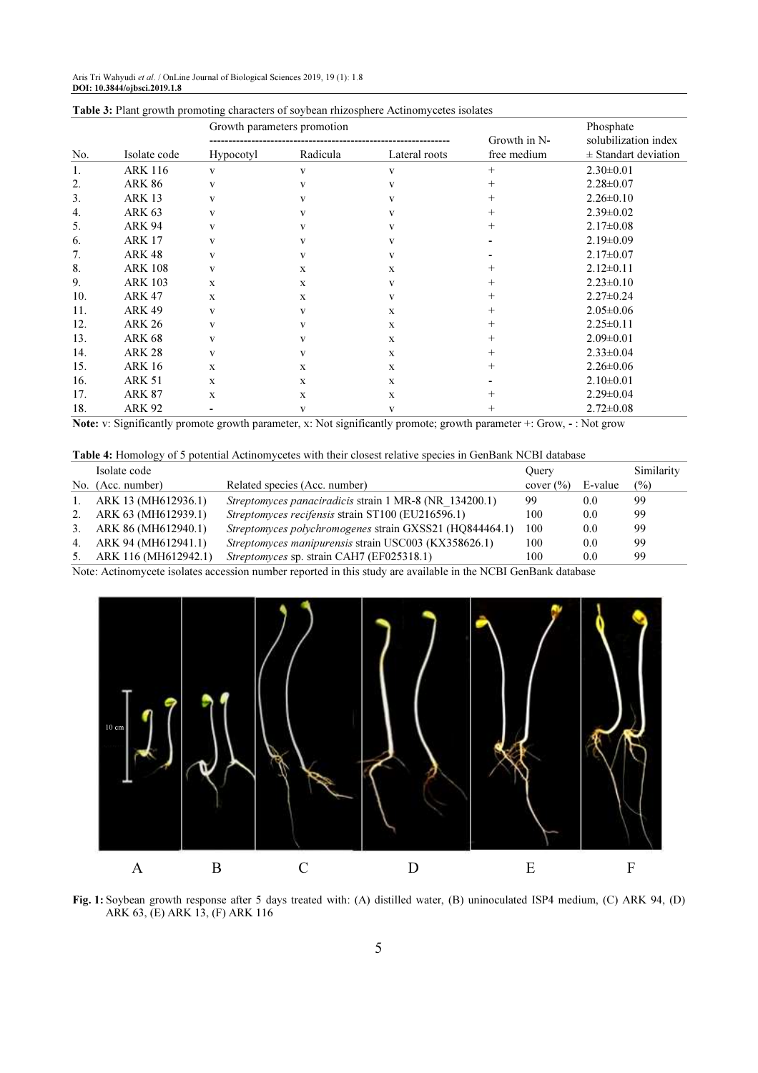|     |                | Growth parameters promotion |          |               | Growth in N- | Phosphate<br>solubilization index |  |
|-----|----------------|-----------------------------|----------|---------------|--------------|-----------------------------------|--|
| No. | Isolate code   | <b>Hypocotyl</b>            | Radicula | Lateral roots | free medium  | $\pm$ Standart deviation          |  |
| 1.  | <b>ARK 116</b> | V                           | V        | V             | $^{+}$       | $2.30 \pm 0.01$                   |  |
| 2.  | <b>ARK 86</b>  | V                           | V        |               | $^{+}$       | $2.28 \pm 0.07$                   |  |
| 3.  | <b>ARK 13</b>  | V                           | V        |               | $^{+}$       | $2.26 \pm 0.10$                   |  |
| 4.  | <b>ARK 63</b>  | V                           | V        |               | $^{+}$       | $2.39 \pm 0.02$                   |  |
| 5.  | <b>ARK 94</b>  | v                           |          |               | $^{+}$       | $2.17 \pm 0.08$                   |  |
| 6.  | <b>ARK 17</b>  | v                           | V        |               |              | $2.19 \pm 0.09$                   |  |
| 7.  | <b>ARK 48</b>  | V                           | V        | v             |              | $2.17 \pm 0.07$                   |  |
| 8.  | <b>ARK 108</b> | V                           | X        | $\mathbf x$   | $^+$         | $2.12 \pm 0.11$                   |  |
| 9.  | <b>ARK 103</b> | X                           | X        |               | $^+$         | $2.23 \pm 0.10$                   |  |
| 10. | <b>ARK 47</b>  | X                           | X        | v             | $^{+}$       | $2.27 \pm 0.24$                   |  |
| 11. | <b>ARK 49</b>  | V                           | V        | X             | $^{+}$       | $2.05 \pm 0.06$                   |  |
| 12. | <b>ARK 26</b>  | V                           | V        | $\mathbf x$   | $^+$         | $2.25 \pm 0.11$                   |  |
| 13. | <b>ARK 68</b>  | v                           |          | $\mathbf x$   | $^+$         | $2.09 \pm 0.01$                   |  |
| 14. | <b>ARK 28</b>  | v                           | V        | $\mathbf x$   | $^+$         | $2.33 \pm 0.04$                   |  |
| 15. | <b>ARK 16</b>  | X                           | X        | $\mathbf x$   | $^+$         | $2.26 \pm 0.06$                   |  |
| 16. | <b>ARK 51</b>  | X                           | X        | $\mathbf x$   |              | $2.10 \pm 0.01$                   |  |
| 17. | <b>ARK 87</b>  | X                           | X        | $\mathbf x$   |              | $2.29 \pm 0.04$                   |  |
| 18. | <b>ARK 92</b>  |                             | V        | V             | $^{+}$       | $2.72 \pm 0.08$                   |  |

#### Table 3: Plant growth promoting characters of soybean rhizosphere Actinomycetes isolates

Note: v: Significantly promote growth parameter, x: Not significantly promote; growth parameter +: Grow, - : Not grow

Table 4: Homology of 5 potential Actinomycetes with their closest relative species in GenBank NCBI database

|         | Isolate code         |                                                               | Ouery               |         | Similarity     |
|---------|----------------------|---------------------------------------------------------------|---------------------|---------|----------------|
|         | No. (Acc. number)    | Related species (Acc. number)                                 | cover $\frac{6}{6}$ | E-value | $\binom{0}{0}$ |
| $1_{-}$ | ARK 13 (MH612936.1)  | <i>Streptomyces panaciradicis strain</i> 1 MR-8 (NR 134200.1) | 99                  | 0.0     | 99             |
| 2.      | ARK 63 (MH612939.1)  | Streptomyces recifensis strain ST100 (EU216596.1)             | 100                 | 0.0     | 99             |
| 3.      | ARK 86 (MH612940.1)  | Streptomyces polychromogenes strain GXSS21 (HQ844464.1)       | 100                 | 0.0     | 99             |
| 4.      | ARK 94 (MH612941.1)  | <i>Streptomyces manipurensis strain USC003 (KX358626.1)</i>   | 100                 | 0.0     | 99             |
| 5.      | ARK 116 (MH612942.1) | <i>Streptomyces sp. strain CAH7 (EF025318.1)</i>              | 100                 | 0.0     | 99             |

Note: Actinomycete isolates accession number reported in this study are available in the NCBI GenBank database



Fig. 1: Soybean growth response after 5 days treated with: (A) distilled water, (B) uninoculated ISP4 medium, (C) ARK 94, (D) ARK 63, (E) ARK 13, (F) ARK 116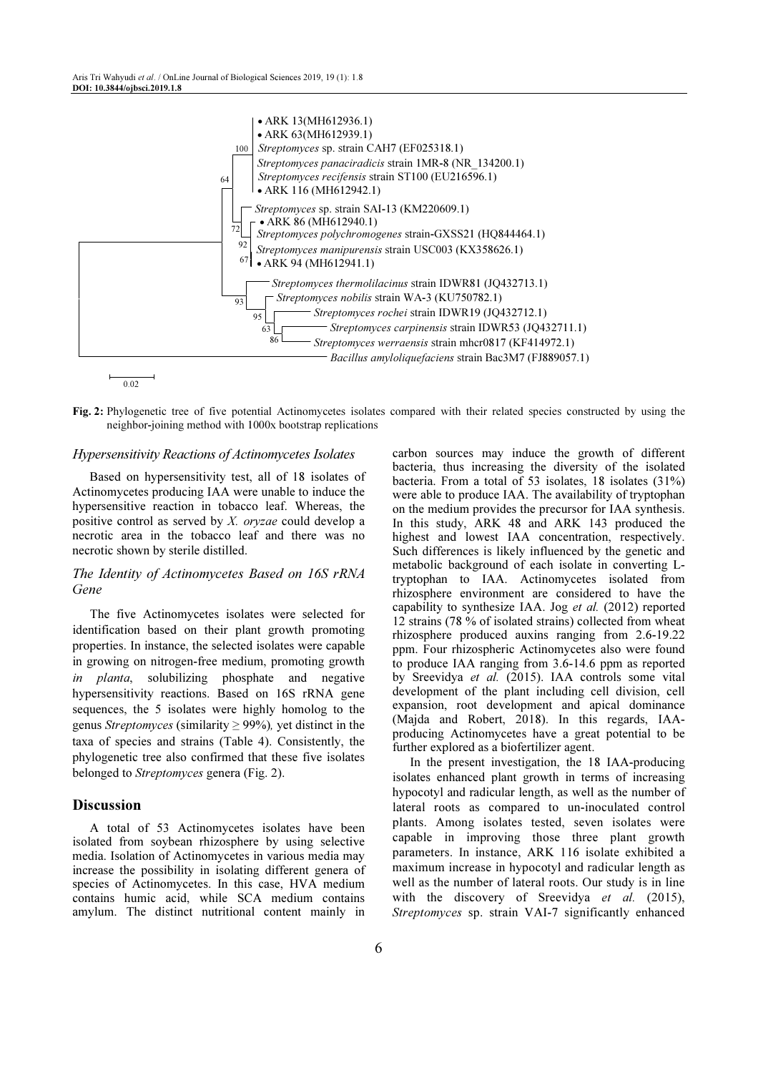

Fig. 2: Phylogenetic tree of five potential Actinomycetes isolates compared with their related species constructed by using the neighbor-joining method with 1000x bootstrap replications

#### Hypersensitivity Reactions of Actinomycetes Isolates

Based on hypersensitivity test, all of 18 isolates of Actinomycetes producing IAA were unable to induce the hypersensitive reaction in tobacco leaf. Whereas, the positive control as served by X. oryzae could develop a necrotic area in the tobacco leaf and there was no necrotic shown by sterile distilled.

## The Identity of Actinomycetes Based on 16S rRNA Gene

The five Actinomycetes isolates were selected for identification based on their plant growth promoting properties. In instance, the selected isolates were capable in growing on nitrogen-free medium, promoting growth in planta, solubilizing phosphate and negative hypersensitivity reactions. Based on 16S rRNA gene sequences, the 5 isolates were highly homolog to the genus Streptomyces (similarity  $\geq$  99%), yet distinct in the taxa of species and strains (Table 4). Consistently, the phylogenetic tree also confirmed that these five isolates belonged to Streptomyces genera (Fig. 2).

# Discussion

A total of 53 Actinomycetes isolates have been isolated from soybean rhizosphere by using selective media. Isolation of Actinomycetes in various media may increase the possibility in isolating different genera of species of Actinomycetes. In this case, HVA medium contains humic acid, while SCA medium contains amylum. The distinct nutritional content mainly in

carbon sources may induce the growth of different bacteria, thus increasing the diversity of the isolated bacteria. From a total of 53 isolates, 18 isolates (31%) were able to produce IAA. The availability of tryptophan on the medium provides the precursor for IAA synthesis. In this study, ARK 48 and ARK 143 produced the highest and lowest IAA concentration, respectively. Such differences is likely influenced by the genetic and metabolic background of each isolate in converting Ltryptophan to IAA. Actinomycetes isolated from rhizosphere environment are considered to have the capability to synthesize IAA. Jog et al. (2012) reported 12 strains (78 % of isolated strains) collected from wheat rhizosphere produced auxins ranging from 2.6-19.22 ppm. Four rhizospheric Actinomycetes also were found to produce IAA ranging from 3.6-14.6 ppm as reported by Sreevidya et al. (2015). IAA controls some vital development of the plant including cell division, cell expansion, root development and apical dominance (Majda and Robert, 2018). In this regards, IAAproducing Actinomycetes have a great potential to be further explored as a biofertilizer agent.

In the present investigation, the 18 IAA-producing isolates enhanced plant growth in terms of increasing hypocotyl and radicular length, as well as the number of lateral roots as compared to un-inoculated control plants. Among isolates tested, seven isolates were capable in improving those three plant growth parameters. In instance, ARK 116 isolate exhibited a maximum increase in hypocotyl and radicular length as well as the number of lateral roots. Our study is in line with the discovery of Sreevidya et al. (2015), Streptomyces sp. strain VAI-7 significantly enhanced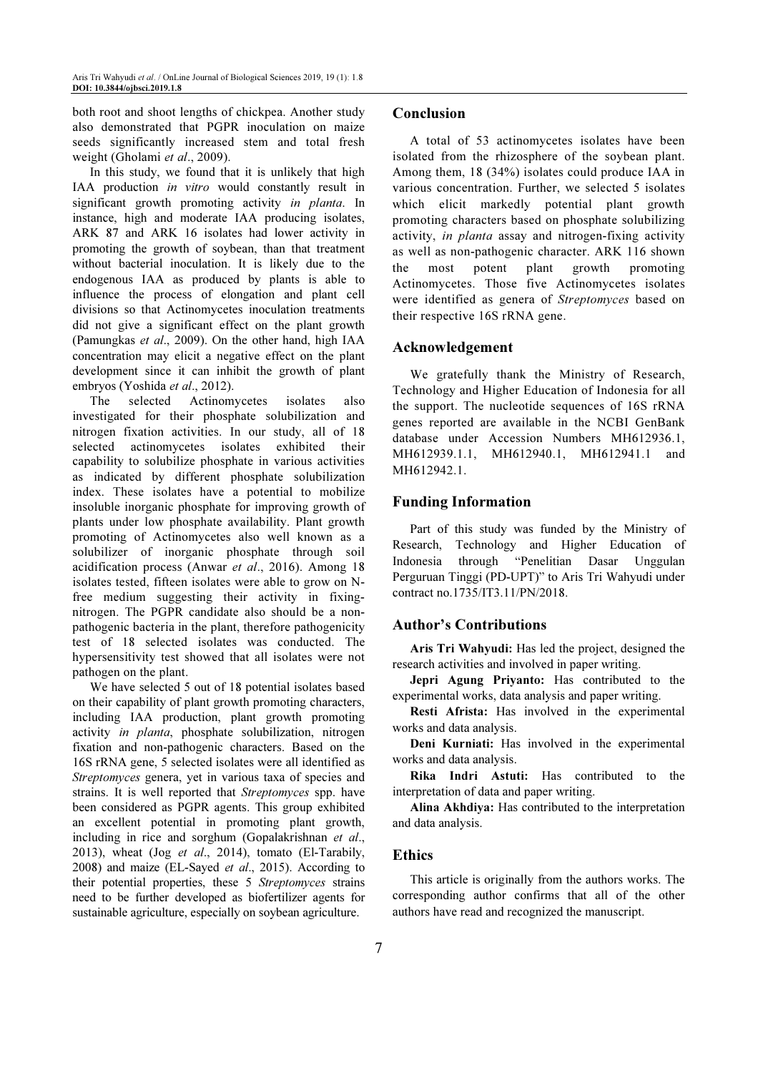both root and shoot lengths of chickpea. Another study also demonstrated that PGPR inoculation on maize seeds significantly increased stem and total fresh weight (Gholami et al., 2009).

In this study, we found that it is unlikely that high IAA production in vitro would constantly result in significant growth promoting activity in planta. In instance, high and moderate IAA producing isolates, ARK 87 and ARK 16 isolates had lower activity in promoting the growth of soybean, than that treatment without bacterial inoculation. It is likely due to the endogenous IAA as produced by plants is able to influence the process of elongation and plant cell divisions so that Actinomycetes inoculation treatments did not give a significant effect on the plant growth (Pamungkas et al., 2009). On the other hand, high IAA concentration may elicit a negative effect on the plant development since it can inhibit the growth of plant embryos (Yoshida et al., 2012).

The selected Actinomycetes isolates also investigated for their phosphate solubilization and nitrogen fixation activities. In our study, all of 18 selected actinomycetes isolates exhibited their capability to solubilize phosphate in various activities as indicated by different phosphate solubilization index. These isolates have a potential to mobilize insoluble inorganic phosphate for improving growth of plants under low phosphate availability. Plant growth promoting of Actinomycetes also well known as a solubilizer of inorganic phosphate through soil acidification process (Anwar et al., 2016). Among 18 isolates tested, fifteen isolates were able to grow on Nfree medium suggesting their activity in fixingnitrogen. The PGPR candidate also should be a nonpathogenic bacteria in the plant, therefore pathogenicity test of 18 selected isolates was conducted. The hypersensitivity test showed that all isolates were not pathogen on the plant.

We have selected 5 out of 18 potential isolates based on their capability of plant growth promoting characters, including IAA production, plant growth promoting activity in planta, phosphate solubilization, nitrogen fixation and non-pathogenic characters. Based on the 16S rRNA gene, 5 selected isolates were all identified as Streptomyces genera, yet in various taxa of species and strains. It is well reported that Streptomyces spp. have been considered as PGPR agents. This group exhibited an excellent potential in promoting plant growth, including in rice and sorghum (Gopalakrishnan et al., 2013), wheat (Jog et al., 2014), tomato (El-Tarabily, 2008) and maize (EL-Sayed et al., 2015). According to their potential properties, these 5 Streptomyces strains need to be further developed as biofertilizer agents for sustainable agriculture, especially on soybean agriculture.

# Conclusion

A total of 53 actinomycetes isolates have been isolated from the rhizosphere of the soybean plant. Among them, 18 (34%) isolates could produce IAA in various concentration. Further, we selected 5 isolates which elicit markedly potential plant growth promoting characters based on phosphate solubilizing activity, in planta assay and nitrogen-fixing activity as well as non-pathogenic character. ARK 116 shown the most potent plant growth promoting Actinomycetes. Those five Actinomycetes isolates were identified as genera of Streptomyces based on their respective 16S rRNA gene.

#### Acknowledgement

We gratefully thank the Ministry of Research, Technology and Higher Education of Indonesia for all the support. The nucleotide sequences of 16S rRNA genes reported are available in the NCBI GenBank database under Accession Numbers MH612936.1, MH612939.1.1, MH612940.1, MH612941.1 and MH612942.1.

## Funding Information

Part of this study was funded by the Ministry of Research, Technology and Higher Education of Indonesia through "Penelitian Dasar Unggulan Perguruan Tinggi (PD-UPT)" to Aris Tri Wahyudi under contract no.1735/IT3.11/PN/2018.

## Author's Contributions

Aris Tri Wahyudi: Has led the project, designed the research activities and involved in paper writing.

Jepri Agung Priyanto: Has contributed to the experimental works, data analysis and paper writing.

Resti Afrista: Has involved in the experimental works and data analysis.

Deni Kurniati: Has involved in the experimental works and data analysis.

Rika Indri Astuti: Has contributed to the interpretation of data and paper writing.

Alina Akhdiya: Has contributed to the interpretation and data analysis.

#### **Ethics**

This article is originally from the authors works. The corresponding author confirms that all of the other authors have read and recognized the manuscript.